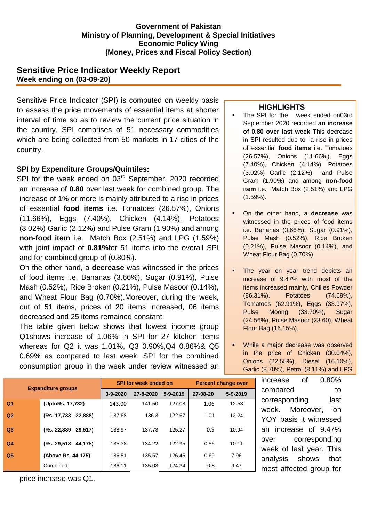### **Government of Pakistan Ministry of Planning, Development & Special Initiatives Economic Policy Wing (Money, Prices and Fiscal Policy Section)**

# **Sensitive Price Indicator Weekly Report Week ending on (03-09-20)**

Sensitive Price Indicator (SPI) is computed on weekly basis to assess the price movements of essential items at shorter interval of time so as to review the current price situation in the country. SPI comprises of 51 necessary commodities which are being collected from 50 markets in 17 cities of the country.

### **SPI by Expenditure Groups/Quintiles:**

SPI for the week ended on 03<sup>rd</sup> September, 2020 recorded an increase of **0.80** over last week for combined group. The increase of 1% or more is mainly attributed to a rise in prices of essential **food items** i.e. Tomatoes (26.57%), Onions (11.66%), Eggs (7.40%), Chicken (4.14%), Potatoes (3.02%) Garlic (2.12%) and Pulse Gram (1.90%) and among **non-food item** i.e. Match Box (2.51%) and LPG (1.59%) with joint impact of **0.81%**for 51 items into the overall SPI and for combined group of (0.80%).

On the other hand, a **decrease** was witnessed in the prices of food items i.e. Bananas (3.66%), Sugar (0.91%), Pulse Mash (0.52%), Rice Broken (0.21%), Pulse Masoor (0.14%), and Wheat Flour Bag (0.70%).Moreover, during the week, out of 51 items, prices of 20 items increased, 06 items decreased and 25 items remained constant.

The table given below shows that lowest income group Q1shows increase of 1.06% in SPI for 27 kitchen items whereas for Q2 it was 1.01%, Q3 0.90%,Q4 0.86%& Q5 0.69% as compared to last week. SPI for the combined consumption group in the week under review witnessed an

#### **HIGHLIGHTS**

- The SPI for the week ended on03rd September 2020 recorded **an increase of 0.80 over last week** This decrease in SPI resulted due to a rise in prices of essential **food items** i.e. Tomatoes (26.57%), Onions (11.66%), Eggs (7.40%), Chicken (4.14%), Potatoes (3.02%) Garlic (2.12%) and Pulse Gram (1.90%) and among **non-food item** i.e. Match Box (2.51%) and LPG (1.59%).
- On the other hand, a **decrease** was witnessed in the prices of food items i.e. Bananas (3.66%), Sugar (0.91%), Pulse Mash (0.52%), Rice Broken (0.21%), Pulse Masoor (0.14%), and Wheat Flour Bag (0.70%).
- The year on year trend depicts an increase of 9.47% with most of the items increased mainly, Chilies Powder (86.31%), Potatoes (74.69%), Tomatoes (62.91%), Eggs (33.97%), Pulse Moong (33.70%), Sugar (24.56%), Pulse Masoor (23.60), Wheat Flour Bag (16.15%),
- **While a major decrease was observed** in the price of Chicken (30.04%), Onions (22.55%), Diesel (16.10%), Garlic (8.70%), Petrol (8.11%) and LPG

<sub>or</sub> increase of 0.80% compared to corresponding last week. Moreover, on YOY basis it witnessed an increase of 9.47% over corresponding week of last year. This analysis shows that most affected group for

| <b>Expenditure groups</b> |                       |          | <b>SPI for week ended on</b> | <b>Percent change over</b> |          |          |
|---------------------------|-----------------------|----------|------------------------------|----------------------------|----------|----------|
|                           |                       | 3-9-2020 | 27-8-2020                    | $5 - 9 - 2019$             | 27-08-20 | 5-9-2019 |
| Q1                        | (UptoRs. 17,732)      | 143.00   | 141.50                       | 127.08                     | 1.06     | 12.53    |
| Q <sub>2</sub>            | (Rs. 17,733 - 22,888) | 137.68   | 136.3                        | 122.67                     | 1.01     | 12.24    |
| Q <sub>3</sub>            | (Rs. 22,889 - 29,517) | 138.97   | 137.73                       | 125.27                     | 0.9      | 10.94    |
| Q4                        | (Rs. 29,518 - 44,175) | 135.38   | 134.22                       | 122.95                     | 0.86     | 10.11    |
| Q5                        | (Above Rs. 44,175)    | 136.51   | 135.57                       | 126.45                     | 0.69     | 7.96     |
|                           | Combined              | 136.11   | 135.03                       | 124.34                     | 0.8      | 9.47     |

price increase was Q1.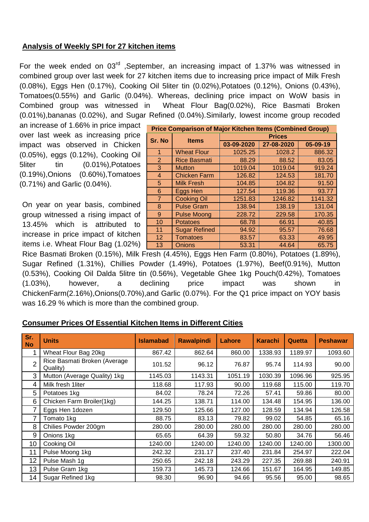## **Analysis of Weekly SPI for 27 kitchen items**

For the week ended on 03<sup>rd</sup> ,September, an increasing impact of 1.37% was witnessed in combined group over last week for 27 kitchen items due to increasing price impact of Milk Fresh (0.08%), Eggs Hen (0.17%), Cooking Oil 5liter tin (0.02%),Potatoes (0.12%), Onions (0.43%), Tomatoes(0.55%) and Garlic (0.04%). Whereas, declining price impact on WoW basis in Combined group was witnessed in Wheat Flour Bag(0.02%), Rice Basmati Broken (0.01%),bananas (0.02%), and Sugar Refined (0.04%).Similarly, lowest income group recoded

an increase of 1.66% in price impact over last week as increasing price impact was observed in Chicken (0.05%), eggs (0.12%), Cooking Oil 5liter tin (0.01%),Potatoes (0.19%),Onions (0.60%),Tomatoes (0.71%) and Garlic (0.04%).

On year on year basis, combined group witnessed a rising impact of 13.45% which is attributed to increase in price impact of kitchen items i.e. Wheat Flour Bag (1.02%)

| <b>Price Comparison of Major Kitchen Items (Combined Group)</b> |                      |               |            |          |  |  |
|-----------------------------------------------------------------|----------------------|---------------|------------|----------|--|--|
| Sr. No                                                          | <b>Items</b>         | <b>Prices</b> |            |          |  |  |
|                                                                 |                      | 03-09-2020    | 27-08-2020 | 05-09-19 |  |  |
| 1                                                               | <b>Wheat Flour</b>   | 1025.25       | 1028.2     | 886.32   |  |  |
| $\overline{2}$                                                  | <b>Rice Basmati</b>  | 88.29         | 88.52      | 83.05    |  |  |
| 3                                                               | <b>Mutton</b>        | 1019.04       | 1019.04    | 919.24   |  |  |
| 4                                                               | <b>Chicken Farm</b>  | 126.82        | 124.53     | 181.70   |  |  |
| 5                                                               | <b>Milk Fresh</b>    | 104.85        | 104.82     | 91.50    |  |  |
| 6                                                               | Eggs Hen             | 127.54        | 119.36     | 93.77    |  |  |
| $\overline{7}$                                                  | <b>Cooking Oil</b>   | 1251.83       | 1246.82    | 1141.32  |  |  |
| 8                                                               | <b>Pulse Gram</b>    | 138.94        | 138.19     | 131.04   |  |  |
| 9                                                               | <b>Pulse Moong</b>   | 228.72        | 229.58     | 170.35   |  |  |
| 10                                                              | <b>Potatoes</b>      | 68.78         | 66.91      | 40.85    |  |  |
| 11                                                              | <b>Sugar Refined</b> | 94.92         | 95.57      | 76.68    |  |  |
| 12                                                              | <b>Tomatoes</b>      | 83.57         | 63.33      | 49.95    |  |  |
| 13                                                              | <b>Onions</b>        | 53.31         | 44.64      | 65.75    |  |  |

Rice Basmati Broken (0.15%), Milk Fresh (4.45%), Eggs Hen Farm (0.80%), Potatoes (1.89%), Sugar Refined (1.31%), Chillies Powder (1.49%), Potatoes (1.97%), Beef(0.91%), Mutton (0.53%), Cooking Oil Dalda 5litre tin (0.56%), Vegetable Ghee 1kg Pouch(0.42%), Tomatoes (1.03%), however, a declining price impact was shown in ChickenFarm(2.16%),Onions(0.70%),and Garlic (0.07%). For the Q1 price impact on YOY basis was 16.29 % which is more than the combined group.

### **Consumer Prices Of Essential Kitchen Items in Different Cities**

| Sr.<br><b>No</b> | <b>Units</b>                             | <b>Islamabad</b> | <b>Rawalpindi</b> | Lahore  | <b>Karachi</b> | Quetta  | <b>Peshawar</b> |
|------------------|------------------------------------------|------------------|-------------------|---------|----------------|---------|-----------------|
|                  | Wheat Flour Bag 20kg                     | 867.42           | 862.64            | 860.00  | 1338.93        | 1189.97 | 1093.60         |
| 2                | Rice Basmati Broken (Average<br>Quality) | 101.52           | 96.12             | 76.87   | 95.74          | 114.93  | 90.00           |
| 3                | Mutton (Average Quality) 1kg             | 1145.03          | 1143.31           | 1051.19 | 1030.39        | 1096.96 | 925.95          |
| 4                | Milk fresh 1liter                        | 118.68           | 117.93            | 90.00   | 119.68         | 115.00  | 119.70          |
| 5                | Potatoes 1kg                             | 84.02            | 78.24             | 72.26   | 57.41          | 59.86   | 80.00           |
| 6                | Chicken Farm Broiler(1kg)                | 144.25           | 138.71            | 114.00  | 134.48         | 154.95  | 136.00          |
|                  | Eggs Hen 1dozen                          | 129.50           | 125.66            | 127.00  | 128.59         | 134.94  | 126.58          |
| 7                | Tomato 1kg                               | 88.75            | 83.13             | 79.82   | 99.02          | 54.85   | 65.16           |
| 8                | Chilies Powder 200gm                     | 280.00           | 280.00            | 280.00  | 280.00         | 280.00  | 280.00          |
| 9                | Onions 1kg                               | 65.65            | 64.39             | 59.32   | 50.80          | 34.76   | 56.46           |
| 10               | Cooking Oil                              | 1240.00          | 1240.00           | 1240.00 | 1240.00        | 1240.00 | 1300.00         |
| 11               | Pulse Moong 1kg                          | 242.32           | 231.17            | 237.40  | 231.84         | 254.97  | 222.04          |
| 12               | Pulse Mash 1g                            | 250.65           | 242.18            | 243.29  | 227.35         | 269.88  | 240.91          |
| 13               | Pulse Gram 1kg                           | 159.73           | 145.73            | 124.66  | 151.67         | 164.95  | 149.85          |
| 14               | Sugar Refined 1kg                        | 98.30            | 96.90             | 94.66   | 95.56          | 95.00   | 98.65           |